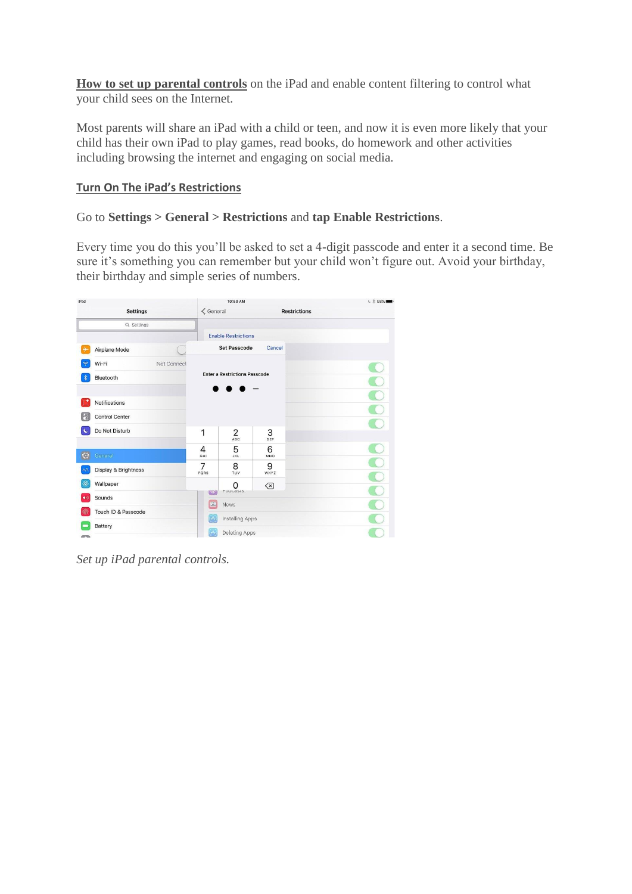**How to set up parental controls** on the iPad and enable content filtering to control what your child sees on the Internet.

Most parents will share an iPad with a child or teen, and now it is even more likely that your child has their own iPad to play games, read books, do homework and other activities including browsing the internet and engaging on social media.

## **Turn On The iPad's Restrictions**

## Go to **Settings > General > Restrictions** and **tap Enable Restrictions**.

Every time you do this you'll be asked to set a 4-digit passcode and enter it a second time. Be sure it's something you can remember but your child won't figure out. Avoid your birthday, their birthday and simple series of numbers.

| iPad                    |                       |                | 10:50 AM                             |                     | $L \times 93\%$ |
|-------------------------|-----------------------|----------------|--------------------------------------|---------------------|-----------------|
|                         | <b>Settings</b>       | $\leq$ General |                                      | <b>Restrictions</b> |                 |
|                         | Q Settings            |                |                                      |                     |                 |
|                         |                       |                | <b>Enable Restrictions</b>           |                     |                 |
| $\rightarrow$           | Airplane Mode         |                | <b>Set Passcode</b>                  | Cancel              |                 |
| $\widehat{\mathcal{F}}$ | Wi-Fi<br>Not Connect  |                |                                      |                     |                 |
| $\ast$                  | Bluetooth             |                | <b>Enter a Restrictions Passcode</b> |                     |                 |
|                         |                       |                |                                      |                     |                 |
|                         | Notifications         |                |                                      |                     |                 |
| 8                       | <b>Control Center</b> |                |                                      |                     |                 |
| $\epsilon$              | Do Not Disturb        | 1              | 2                                    | 3                   |                 |
|                         |                       |                | ABC                                  | DEF                 |                 |
| $\bigcirc$              | General               | 4<br>GHI       | 5<br><b>JKL</b>                      | 6<br>MNO            |                 |
| AA                      | Display & Brightness  | 7<br>PQRS      | 8<br>TUV                             | 9<br><b>WXYZ</b>    | $\sqrt{2}$      |
| 藥                       | Wallpaper             |                | O                                    | $\oslash$           |                 |
| $\blacktriangleleft$    | Sounds                | <b>LALA</b>    | ruuuasts                             |                     |                 |
|                         | Touch ID & Passcode   | 圖              | News                                 |                     |                 |
|                         | Battery               | $(\wedge$      | Installing Apps                      |                     |                 |
| <b>ATTN</b>             |                       | 64             | Deleting Apps                        |                     |                 |

*Set up iPad parental controls.*